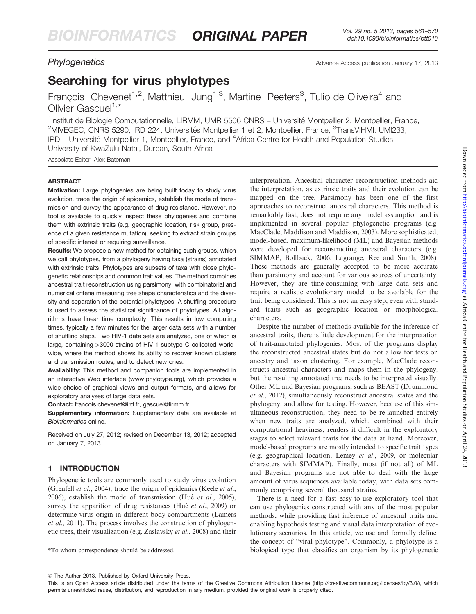**Phylogenetics Advance Access publication January 17, 2013** Advance Access publication January 17, 2013

# Searching for virus phylotypes

François Chevenet<sup>1,2</sup>, Matthieu Jung<sup>1,3</sup>, Martine Peeters<sup>3</sup>, Tulio de Oliveira<sup>4</sup> and Olivier Gascuel<sup>1,\*</sup>

<sup>1</sup>Institut de Biologie Computationnelle, LIRMM, UMR 5506 CNRS - Université Montpellier 2, Montpellier, France, <sup>2</sup>MIVEGEC, CNRS 5290, IRD 224, Universités Montpellier 1 et 2, Montpellier, France, <sup>3</sup>TransVIHMI, UMI233, IRD – Université Montpellier 1, Montpellier, France, and <sup>4</sup>Africa Centre for Health and Population Studies, University of KwaZulu-Natal, Durban, South Africa

Associate Editor: Alex Bateman

#### **ABSTRACT**

Motivation: Large phylogenies are being built today to study virus evolution, trace the origin of epidemics, establish the mode of transmission and survey the appearance of drug resistance. However, no tool is available to quickly inspect these phylogenies and combine them with extrinsic traits (e.g. geographic location, risk group, presence of a given resistance mutation), seeking to extract strain groups of specific interest or requiring surveillance.

Results: We propose a new method for obtaining such groups, which we call phylotypes, from a phylogeny having taxa (strains) annotated with extrinsic traits. Phylotypes are subsets of taxa with close phylogenetic relationships and common trait values. The method combines ancestral trait reconstruction using parsimony, with combinatorial and numerical criteria measuring tree shape characteristics and the diversity and separation of the potential phylotypes. A shuffling procedure is used to assess the statistical significance of phylotypes. All algorithms have linear time complexity. This results in low computing times, typically a few minutes for the larger data sets with a number of shuffling steps. Two HIV-1 data sets are analyzed, one of which is large, containing > 3000 strains of HIV-1 subtype C collected worldwide, where the method shows its ability to recover known clusters and transmission routes, and to detect new ones.

Availability: This method and companion tools are implemented in an interactive Web interface (<www.phylotype.org>), which provides a wide choice of graphical views and output formats, and allows for exploratory analyses of large data sets.

Contact: francois.chevenet@ird.fr, gascuel@lirmm.fr

Supplementary information: [Supplementary data](http://bioinformatics.oxfordjournals.org/lookup/suppl/doi:10.1093/bioinformatics/btt010/-/DC1) are available at Bioinformatics online.

Received on July 27, 2012; revised on December 13, 2012; accepted on January 7, 2013

### 1 INTRODUCTION

Phylogenetic tools are commonly used to study virus evolution ([Grenfell](#page-9-0) et al., 2004), trace the origin of epidemics [\(Keele](#page-9-0) et al., [2006](#page-9-0)), establish the mode of transmission (Hué et al.[, 2005\)](#page-9-0), survey the apparition of drug resistances (Hué et al.[, 2009](#page-9-0)) or determine virus origin in different body compartments ([Lamers](#page-9-0) et al[., 2011](#page-9-0)). The process involves the construction of phylogenetic trees, their visualization (e.g. [Zaslavsky](#page-9-0) et al., 2008) and their

interpretation. Ancestral character reconstruction methods aid the interpretation, as extrinsic traits and their evolution can be mapped on the tree. Parsimony has been one of the first approaches to reconstruct ancestral characters. This method is remarkably fast, does not require any model assumption and is implemented in several popular phylogenetic programs (e.g. MacClade, [Maddison and Maddison, 2003](#page-9-0)). More sophisticated, model-based, maximum-likelihood (ML) and Bayesian methods were developed for reconstructing ancestral characters (e.g. SIMMAP, [Bollback, 2006;](#page-9-0) Lagrange, [Ree and Smith, 2008\)](#page-9-0). These methods are generally accepted to be more accurate than parsimony and account for various sources of uncertainty. However, they are time-consuming with large data sets and require a realistic evolutionary model to be available for the trait being considered. This is not an easy step, even with standard traits such as geographic location or morphological characters.

Despite the number of methods available for the inference of ancestral traits, there is little development for the interpretation of trait-annotated phylogenies. Most of the programs display the reconstructed ancestral states but do not allow for tests on ancestry and taxon clustering. For example, MacClade reconstructs ancestral characters and maps them in the phylogeny, but the resulting annotated tree needs to be interpreted visually. Other ML and Bayesian programs, such as BEAST [\(Drummond](#page-9-0) et al.[, 2012](#page-9-0)), simultaneously reconstruct ancestral states and the phylogeny, and allow for testing. However, because of this simultaneous reconstruction, they need to be re-launched entirely when new traits are analyzed, which, combined with their computational heaviness, renders it difficult in the exploratory stages to select relevant traits for the data at hand. Moreover, model-based programs are mostly intended to specific trait types (e.g. geographical location, [Lemey](#page-9-0) et al., 2009, or molecular characters with SIMMAP). Finally, most (if not all) of ML and Bayesian programs are not able to deal with the huge amount of virus sequences available today, with data sets commonly comprising several thousand strains.

There is a need for a fast easy-to-use exploratory tool that can use phylogenies constructed with any of the most popular methods, while providing fast inference of ancestral traits and enabling hypothesis testing and visual data interpretation of evolutionary scenarios. In this article, we use and formally define, the concept of ''viral phylotype''. Commonly, a phylotype is a \*To whom correspondence should be addressed. biological type that classifies an organism by its phylogenetic

<sup>-</sup> The Author 2013. Published by Oxford University Press.

This is an Open Access article distributed under the terms of the Creative Commons Attribution License (http://creativecommons.org/licenses/by/3.0/), which permits unrestricted reuse, distribution, and reproduction in any medium, provided the original work is properly cited.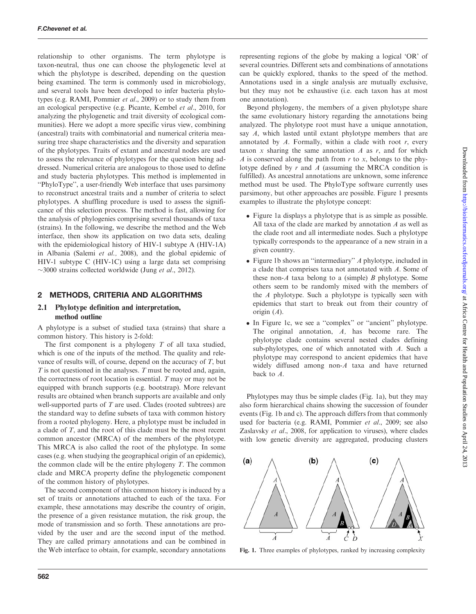<span id="page-1-0"></span>relationship to other organisms. The term phylotype is taxon-neutral, thus one can choose the phylogenetic level at which the phylotype is described, depending on the question being examined. The term is commonly used in microbiology, and several tools have been developed to infer bacteria phylotypes (e.g. RAMI, [Pommier](#page-9-0) et al., 2009) or to study them from an ecological perspective (e.g. Picante, [Kembel](#page-9-0) et al., 2010, for analyzing the phylogenetic and trait diversity of ecological communities). Here we adopt a more specific virus view, combining (ancestral) traits with combinatorial and numerical criteria measuring tree shape characteristics and the diversity and separation of the phylotypes. Traits of extant and ancestral nodes are used to assess the relevance of phylotypes for the question being addressed. Numerical criteria are analogous to those used to define and study bacteria phylotypes. This method is implemented in ''PhyloType'', a user-friendly Web interface that uses parsimony to reconstruct ancestral traits and a number of criteria to select phylotypes. A shuffling procedure is used to assess the significance of this selection process. The method is fast, allowing for the analysis of phylogenies comprising several thousands of taxa (strains). In the following, we describe the method and the Web interface, then show its application on two data sets, dealing with the epidemiological history of HIV-1 subtype A (HIV-1A) in Albania ([Salemi](#page-9-0) et al., 2008), and the global epidemic of HIV-1 subtype C (HIV-1C) using a large data set comprising  $\sim$ 3000 strains collected worldwide (Jung et al.[, 2012](#page-9-0)).

# 2 METHODS, CRITERIA AND ALGORITHMS

#### 2.1 Phylotype definition and interpretation, method outline

A phylotype is a subset of studied taxa (strains) that share a common history. This history is 2-fold:

The first component is a phylogeny  $T$  of all taxa studied, which is one of the inputs of the method. The quality and relevance of results will, of course, depend on the accuracy of T, but  $T$  is not questioned in the analyses.  $T$  must be rooted and, again, the correctness of root location is essential. T may or may not be equipped with branch supports (e.g. bootstrap). More relevant results are obtained when branch supports are available and only well-supported parts of T are used. Clades (rooted subtrees) are the standard way to define subsets of taxa with common history from a rooted phylogeny. Here, a phylotype must be included in a clade of T, and the root of this clade must be the most recent common ancestor (MRCA) of the members of the phylotype. This MRCA is also called the root of the phylotype. In some cases (e.g. when studying the geographical origin of an epidemic), the common clade will be the entire phylogeny T. The common clade and MRCA property define the phylogenetic component of the common history of phylotypes.

The second component of this common history is induced by a set of traits or annotations attached to each of the taxa. For example, these annotations may describe the country of origin, the presence of a given resistance mutation, the risk group, the mode of transmission and so forth. These annotations are provided by the user and are the second input of the method. They are called primary annotations and can be combined in the Web interface to obtain, for example, secondary annotations representing regions of the globe by making a logical 'OR' of several countries. Different sets and combinations of annotations can be quickly explored, thanks to the speed of the method. Annotations used in a single analysis are mutually exclusive, but they may not be exhaustive (i.e. each taxon has at most one annotation).

Beyond phylogeny, the members of a given phylotype share the same evolutionary history regarding the annotations being analyzed. The phylotype root must have a unique annotation, say A, which lasted until extant phylotype members that are annotated by  $A$ . Formally, within a clade with root  $r$ , every taxon x sharing the same annotation  $A$  as  $r$ , and for which A is conserved along the path from  $r$  to  $x$ , belongs to the phylotype defined by  $r$  and  $\overline{A}$  (assuming the MRCA condition is fulfilled). As ancestral annotations are unknown, some inference method must be used. The PhyloType software currently uses parsimony, but other approaches are possible. Figure 1 presents examples to illustrate the phylotype concept:

- Figure 1a displays a phylotype that is as simple as possible. All taxa of the clade are marked by annotation  $A$  as well as the clade root and all intermediate nodes. Such a phylotype typically corresponds to the appearance of a new strain in a given country.
- Figure 1b shows an "intermediary" A phylotype, included in a clade that comprises taxa not annotated with A. Some of these non- $A$  taxa belong to a (simple)  $B$  phylotype. Some others seem to be randomly mixed with the members of the A phylotype. Such a phylotype is typically seen with epidemics that start to break out from their country of origin  $(A)$ .
- In Figure 1c, we see a "complex" or "ancient" phylotype. The original annotation, A, has become rare. The phylotype clade contains several nested clades defining sub-phylotypes, one of which annotated with A. Such a phylotype may correspond to ancient epidemics that have widely diffused among non-A taxa and have returned back to A.

Phylotypes may thus be simple clades (Fig. 1a), but they may also form hierarchical chains showing the succession of founder events (Fig. 1b and c). The approach differs from that commonly used for bacteria (e.g. RAMI, [Pommier](#page-9-0) et al., 2009; see also [Zaslavsky](#page-9-0) et al., 2008, for application to viruses), where clades with low genetic diversity are aggregated, producing clusters



Fig. 1. Three examples of phylotypes, ranked by increasing complexity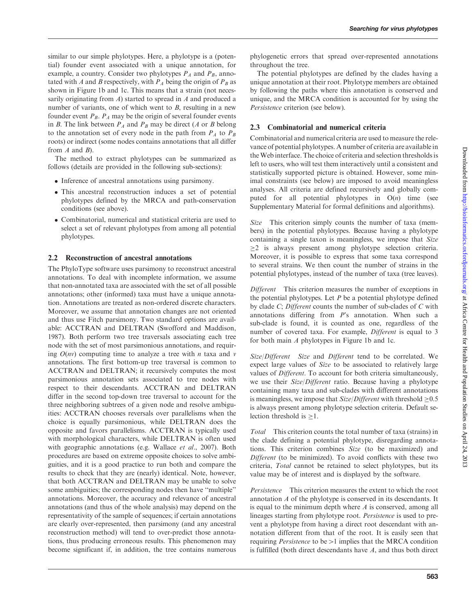similar to our simple phylotypes. Here, a phylotype is a (potential) founder event associated with a unique annotation, for example, a country. Consider two phylotypes  $P_A$  and  $P_B$ , annotated with A and B respectively, with  $P_A$  being the origin of  $P_B$  as shown in [Figure 1b](#page-1-0) and [1](#page-1-0)c. This means that a strain (not necessarily originating from A) started to spread in A and produced a number of variants, one of which went to B, resulting in a new founder event  $P_B$ .  $P_A$  may be the origin of several founder events in B. The link between  $P_A$  and  $P_B$  may be direct (A or B belong to the annotation set of every node in the path from  $P_A$  to  $P_B$ roots) or indirect (some nodes contains annotations that all differ from  $A$  and  $B$ ).

The method to extract phylotypes can be summarized as follows (details are provided in the following sub-sections):

- Inference of ancestral annotations using parsimony.
- This ancestral reconstruction induces a set of potential phylotypes defined by the MRCA and path-conservation conditions (see above).
- Combinatorial, numerical and statistical criteria are used to select a set of relevant phylotypes from among all potential phylotypes.

#### 2.2 Reconstruction of ancestral annotations

The PhyloType software uses parsimony to reconstruct ancestral annotations. To deal with incomplete information, we assume that non-annotated taxa are associated with the set of all possible annotations; other (informed) taxa must have a unique annotation. Annotations are treated as non-ordered discrete characters. Moreover, we assume that annotation changes are not oriented and thus use Fitch parsimony. Two standard options are available: ACCTRAN and DELTRAN ([Swofford and Maddison,](#page-9-0) [1987](#page-9-0)). Both perform two tree traversals associating each tree node with the set of most parsimonious annotations, and requiring  $O(nv)$  computing time to analyze a tree with *n* taxa and *v* annotations. The first bottom-up tree traversal is common to ACCTRAN and DELTRAN; it recursively computes the most parsimonious annotation sets associated to tree nodes with respect to their descendants. ACCTRAN and DELTRAN differ in the second top-down tree traversal to account for the three neighboring subtrees of a given node and resolve ambiguities: ACCTRAN chooses reversals over parallelisms when the choice is equally parsimonious, while DELTRAN does the opposite and favors parallelisms. ACCTRAN is typically used with morphological characters, while DELTRAN is often used with geographic annotations (e.g. [Wallace](#page-9-0) et al., 2007). Both procedures are based on extreme opposite choices to solve ambiguities, and it is a good practice to run both and compare the results to check that they are (nearly) identical. Note, however, that both ACCTRAN and DELTRAN may be unable to solve some ambiguities; the corresponding nodes then have ''multiple'' annotations. Moreover, the accuracy and relevance of ancestral annotations (and thus of the whole analysis) may depend on the representativity of the sample of sequences; if certain annotations are clearly over-represented, then parsimony (and any ancestral reconstruction method) will tend to over-predict those annotations, thus producing erroneous results. This phenomenon may become significant if, in addition, the tree contains numerous phylogenetic errors that spread over-represented annotations throughout the tree.

The potential phylotypes are defined by the clades having a unique annotation at their root. Phylotype members are obtained by following the paths where this annotation is conserved and unique, and the MRCA condition is accounted for by using the Persistence criterion (see below).

#### 2.3 Combinatorial and numerical criteria

Combinatorial and numerical criteria are used to measure the relevance of potential phylotypes. A number of criteria are available in theWeb interface. The choice of criteria and selection thresholds is left to users, who will test them interactively until a consistent and statistically supported picture is obtained. However, some minimal constraints (see below) are imposed to avoid meaningless analyses. All criteria are defined recursively and globally computed for all potential phylotypes in  $O(n)$  time (see [Supplementary Material](http://bioinformatics.oxfordjournals.org/lookup/suppl/doi:10.1093/bioinformatics/btt010/-/DC1) for formal definitions and algorithms).

Size This criterion simply counts the number of taxa (members) in the potential phylotypes. Because having a phylotype containing a single taxon is meaningless, we impose that Size  $\geq$  is always present among phylotype selection criteria. Moreover, it is possible to express that some taxa correspond to several strains. We then count the number of strains in the potential phylotypes, instead of the number of taxa (tree leaves).

Different This criterion measures the number of exceptions in the potential phylotypes. Let  $P$  be a potential phylotype defined by clade C; Different counts the number of sub-clades of C with annotations differing from P's annotation. When such a sub-clade is found, it is counted as one, regardless of the number of covered taxa. For example, Different is equal to 3 for both main A phylotypes in [Figure 1](#page-1-0)b and 1c.

Size/Different Size and Different tend to be correlated. We expect large values of Size to be associated to relatively large values of Different. To account for both criteria simultaneously, we use their Size/Different ratio. Because having a phylotype containing many taxa and sub-clades with different annotations is meaningless, we impose that  $Size/D$  ifferent with threshold  $\geq 0.5$ is always present among phylotype selection criteria. Default selection threshold is  $>1$ .

Total This criterion counts the total number of taxa (strains) in the clade defining a potential phylotype, disregarding annotations. This criterion combines Size (to be maximized) and Different (to be minimized). To avoid conflicts with these two criteria, Total cannot be retained to select phylotypes, but its value may be of interest and is displayed by the software.

Persistence This criterion measures the extent to which the root annotation A of the phylotype is conserved in its descendants. It is equal to the minimum depth where  $A$  is conserved, among all lineages starting from phylotype root. Persistence is used to prevent a phylotype from having a direct root descendant with annotation different from that of the root. It is easily seen that requiring *Persistence* to be  $>1$  implies that the MRCA condition is fulfilled (both direct descendants have A, and thus both direct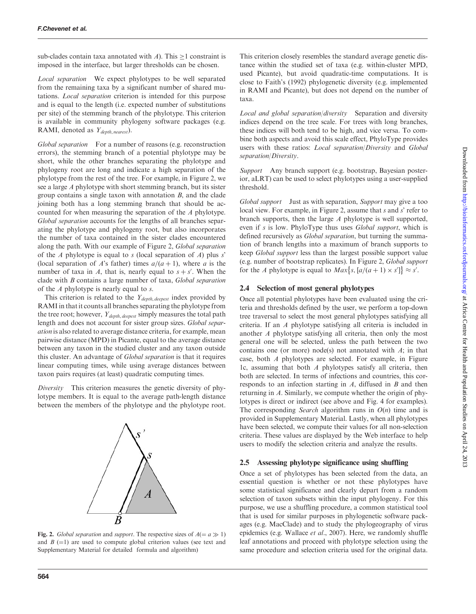sub-clades contain taxa annotated with  $A$ ). This  $>1$  constraint is imposed in the interface, but larger thresholds can be chosen.

Local separation We expect phylotypes to be well separated from the remaining taxa by a significant number of shared mutations. Local separation criterion is intended for this purpose and is equal to the length (i.e. expected number of substitutions per site) of the stemming branch of the phylotype. This criterion is available in community phylogeny software packages (e.g. RAMI, denoted as  $Y_{depth, nearest}$ .

Global separation For a number of reasons (e.g. reconstruction errors), the stemming branch of a potential phylotype may be short, while the other branches separating the phylotype and phylogeny root are long and indicate a high separation of the phylotype from the rest of the tree. For example, in Figure 2, we see a large A phylotype with short stemming branch, but its sister group contains a single taxon with annotation B, and the clade joining both has a long stemming branch that should be accounted for when measuring the separation of the A phylotype. Global separation accounts for the lengths of all branches separating the phylotype and phylogeny root, but also incorporates the number of taxa contained in the sister clades encountered along the path. With our example of Figure 2, Global separation of the A phylotype is equal to s (local separation of A) plus s' (local separation of A's father) times  $a/(a+1)$ , where a is the number of taxa in A, that is, nearly equal to  $s + s'$ . When the clade with B contains a large number of taxa, Global separation of the A phylotype is nearly equal to s.

This criterion is related to the  $Y_{depth, \text{deepest}}$  index provided by RAMI in that it counts all branches separating the phylotype from the tree root; however,  $Y_{depth, \text{deepest}}$  simply measures the total path length and does not account for sister group sizes. Global separation is also related to average distance criteria, for example, mean pairwise distance (MPD) in Picante, equal to the average distance between any taxon in the studied cluster and any taxon outside this cluster. An advantage of Global separation is that it requires linear computing times, while using average distances between taxon pairs requires (at least) quadratic computing times.

Diversity This criterion measures the genetic diversity of phylotype members. It is equal to the average path-length distance between the members of the phylotype and the phylotype root.



Fig. 2. Global separation and support. The respective sizes of  $A(=a \gg 1)$ and  $B$  (=1) are used to compute global criterion values (see text and [Supplementary Material](http://bioinformatics.oxfordjournals.org/lookup/suppl/doi:10.1093/bioinformatics/btt010/-/DC1) for detailed formula and algorithm)

This criterion closely resembles the standard average genetic distance within the studied set of taxa (e.g. within-cluster MPD, used Picante), but avoid quadratic-time computations. It is close to [Faith's \(1992\)](#page-9-0) phylogenetic diversity (e.g. implemented in RAMI and Picante), but does not depend on the number of taxa.

Local and global separation/diversity Separation and diversity indices depend on the tree scale. For trees with long branches, these indices will both tend to be high, and vice versa. To combine both aspects and avoid this scale effect, PhyloType provides users with these ratios: *Local separation/Diversity* and *Global* separation/Diversity.

Support Any branch support (e.g. bootstrap, Bayesian posterior, aLRT) can be used to select phylotypes using a user-supplied threshold.

Global support Just as with separation, Support may give a too local view. For example, in Figure 2, assume that s and s' refer to branch supports, then the large A phylotype is well supported, even if s is low. PhyloType thus uses Global support, which is defined recursively as Global separation, but turning the summation of branch lengths into a maximum of branch supports to keep Global support less than the largest possible support value (e.g. number of bootstrap replicates). In Figure 2, Global support for the A phylotype is equal to  $Max{s$ ,  $[a/(a+1) \times s'] \approx s'$ .

#### 2.4 Selection of most general phylotypes

Once all potential phylotypes have been evaluated using the criteria and thresholds defined by the user, we perform a top-down tree traversal to select the most general phylotypes satisfying all criteria. If an A phylotype satisfying all criteria is included in another A phylotype satisfying all criteria, then only the most general one will be selected, unless the path between the two contains one (or more) node(s) not annotated with  $A$ ; in that case, both A phylotypes are selected. For example, in [Figure](#page-1-0) [1c](#page-1-0), assuming that both A phylotypes satisfy all criteria, then both are selected. In terms of infections and countries, this corresponds to an infection starting in  $A$ , diffused in  $B$  and then returning in A. Similarly, we compute whether the origin of phylotypes is direct or indirect (see above and [Fig. 4](#page-5-0) for examples). The corresponding Search algorithm runs in  $O(n)$  time and is provided in [Supplementary Material](http://bioinformatics.oxfordjournals.org/lookup/suppl/doi:10.1093/bioinformatics/btt010/-/DC1). Lastly, when all phylotypes have been selected, we compute their values for all non-selection criteria. These values are displayed by the Web interface to help users to modify the selection criteria and analyze the results.

#### 2.5 Assessing phylotype significance using shuffling

Once a set of phylotypes has been selected from the data, an essential question is whether or not these phylotypes have some statistical significance and clearly depart from a random selection of taxon subsets within the input phylogeny. For this purpose, we use a shuffling procedure, a common statistical tool that is used for similar purposes in phylogenetic software packages (e.g. MacClade) and to study the phylogeography of virus epidemics (e.g. [Wallace](#page-9-0) et al., 2007). Here, we randomly shuffle leaf annotations and proceed with phylotype selection using the same procedure and selection criteria used for the original data.

Downloaded from http://bioinformatics.oxfordjournals.org/ at Africa Centre for Health and Population Studies on April 24, 2013 Downloaded from <http://bioinformatics.oxfordjournals.org/> at Africa Centre for Health and Population Studies on April 24, 2013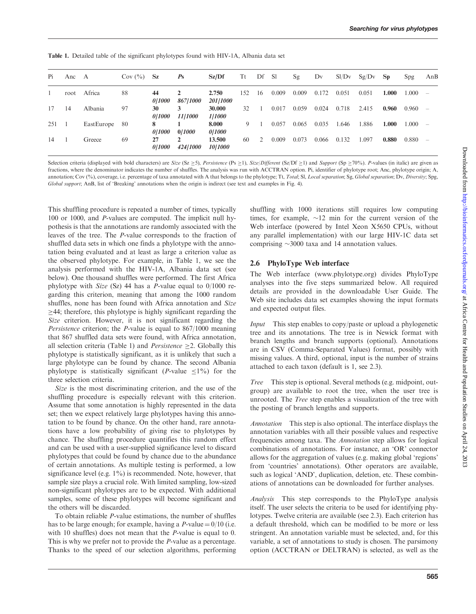<span id="page-4-0"></span>Table 1. Detailed table of the significant phylotypes found with HIV-1A, Albania data set

| Pi  | Anc          | A          | Cov(%) | $S_{Z}$      | $P_{\rm S}$   | Sz/DF             | Tt  | Df             | -S1   | Sg    | Dv    | Sl/Dv | Sg/Dv | Sp    | Spg       | AnE |
|-----|--------------|------------|--------|--------------|---------------|-------------------|-----|----------------|-------|-------|-------|-------|-------|-------|-----------|-----|
|     | root         | Africa     | 88     | 44<br>0/1000 | 2<br>867/1000 | 2.750<br>201/1000 | 152 | -16            | 0.009 | 0.009 | 0.172 | 0.051 | 0.051 | 1.000 | 1.000     |     |
| 17  | 14           | Albania    | 97     | 30<br>0/1000 | 3<br>11/1000  | 30.000<br>1/1000  | 32  |                | 0.017 | 0.059 | 0.024 | 0.718 | 2.415 | 0.960 | 0.960     |     |
| 251 | $\mathbf{1}$ | EastEurope | -80    | 8<br>0/1000  | 0/1000        | 8.000<br>0/1000   | 9   |                | 0.057 | 0.065 | 0.035 | 1.646 | 1.886 | 1.000 | 1.000     |     |
| 14  |              | Greece     | 69     | 27<br>0/1000 | 2<br>424/1000 | 13.500<br>10/1000 | 60  | $\mathfrak{D}$ | 0.009 | 0.073 | 0.066 | 0.132 | 1.097 | 0.880 | $0.880 -$ |     |

Selection criteria (displayed with bold characters) are Size (Sz  $\geq$ 5), *Persistence* (Ps  $\geq$ 1), *Size*/*Different* (Sz/Df  $\geq$ 1) and *Support* (Sp  $\geq$ 70%). *P*-values (in italic) are given as fractions, where the denominator indicates the number of shuffles. The analysis was run with ACCTRAN option. Pi, identifier of phylotype root; Anc, phylotype origin; A, annotation; Cov (%), coverage, i.e. percentage of taxa annotated with A that belongs to the phylotype; Tt, Total; Sl, Local separation; Sg, Global separation; Dv, Diversity; Spg, Global support; AnB, list of 'Breaking' annotations when the origin is indirect (see text and examples in [Fig. 4](#page-5-0)).

This shuffling procedure is repeated a number of times, typically 100 or 1000, and P-values are computed. The implicit null hypothesis is that the annotations are randomly associated with the leaves of the tree. The P-value corresponds to the fraction of shuffled data sets in which one finds a phylotype with the annotation being evaluated and at least as large a criterion value as the observed phylotype. For example, in Table 1, we see the analysis performed with the HIV-1A, Albania data set (see below). One thousand shuffles were performed. The first Africa phylotype with *Size* (Sz) 44 has a *P*-value equal to  $0/1000$  regarding this criterion, meaning that among the 1000 random shuffles, none has been found with Africa annotation and Size  $>$ 44; therefore, this phylotype is highly significant regarding the Size criterion. However, it is not significant regarding the Persistence criterion; the P-value is equal to 867/1000 meaning that 867 shuffled data sets were found, with Africa annotation, all selection criteria (Table 1) and *Persistence*  $>2$ . Globally this phylotype is statistically significant, as it is unlikely that such a large phylotype can be found by chance. The second Albania phylotype is statistically significant (*P*-value  $\leq$ 1%) for the three selection criteria.

Size is the most discriminating criterion, and the use of the shuffling procedure is especially relevant with this criterion. Assume that some annotation is highly represented in the data set; then we expect relatively large phylotypes having this annotation to be found by chance. On the other hand, rare annotations have a low probability of giving rise to phylotypes by chance. The shuffling procedure quantifies this random effect and can be used with a user-supplied significance level to discard phylotypes that could be found by chance due to the abundance of certain annotations. As multiple testing is performed, a low significance level (e.g. 1%) is recommended. Note, however, that sample size plays a crucial role. With limited sampling, low-sized non-significant phylotypes are to be expected. With additional samples, some of these phylotypes will become significant and the others will be discarded.

To obtain reliable P-value estimations, the number of shuffles has to be large enough; for example, having a *P*-value =  $0/10$  (i.e. with 10 shuffles) does not mean that the *P*-value is equal to 0. This is why we prefer not to provide the P-value as a percentage. Thanks to the speed of our selection algorithms, performing shuffling with 1000 iterations still requires low computing times, for example,  $\sim$ 12 min for the current version of the Web interface (powered by Intel Xeon X5650 CPUs, without any parallel implementation) with our large HIV-1C data set comprising  $\sim$ 3000 taxa and 14 annotation values.

# 2.6 PhyloType Web interface

The Web interface [\(www.phylotype.org](www.phylotype.org)) divides PhyloType analyses into the five steps summarized below. All required details are provided in the downloadable User Guide. The Web site includes data set examples showing the input formats and expected output files.

Input This step enables to copy/paste or upload a phylogenetic tree and its annotations. The tree is in Newick format with branch lengths and branch supports (optional). Annotations are in CSV (Comma-Separated Values) format, possibly with missing values. A third, optional, input is the number of strains attached to each taxon (default is 1, see 2.3).

Tree This step is optional. Several methods (e.g. midpoint, outgroup) are available to root the tree, when the user tree is unrooted. The Tree step enables a visualization of the tree with the posting of branch lengths and supports.

Annotation This step is also optional. The interface displays the annotation variables with all their possible values and respective frequencies among taxa. The Annotation step allows for logical combinations of annotations. For instance, an 'OR' connector allows for the aggregation of values (e.g. making global 'regions' from 'countries' annotations). Other operators are available, such as logical 'AND', duplication, deletion, etc. These combinations of annotations can be downloaded for further analyses.

Analysis This step corresponds to the PhyloType analysis itself. The user selects the criteria to be used for identifying phylotypes. Twelve criteria are available (see 2.3). Each criterion has a default threshold, which can be modified to be more or less stringent. An annotation variable must be selected, and, for this variable, a set of annotations to study is chosen. The parsimony option (ACCTRAN or DELTRAN) is selected, as well as the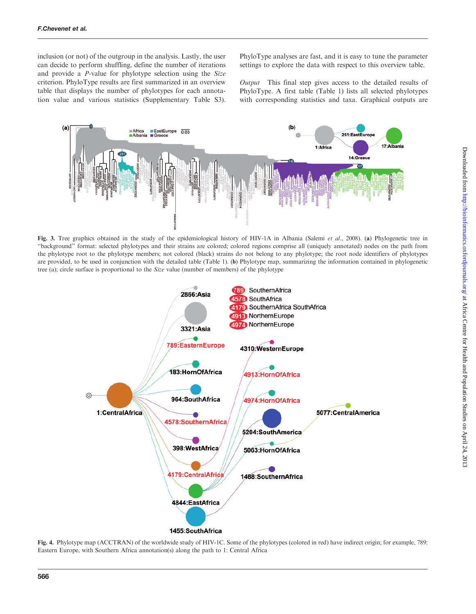<span id="page-5-0"></span>inclusion (or not) of the outgroup in the analysis. Lastly, the user can decide to perform shuffling, define the number of iterations and provide a P-value for phylotype selection using the Size criterion. PhyloType results are first summarized in an overview table that displays the number of phylotypes for each annotation value and various statistics [\(Supplementary Table S3](http://bioinformatics.oxfordjournals.org/lookup/suppl/doi:10.1093/bioinformatics/btt010/-/DC1)).

PhyloType analyses are fast, and it is easy to tune the parameter settings to explore the data with respect to this overview table.

Output This final step gives access to the detailed results of PhyloType. A first table ([Table 1](#page-4-0)) lists all selected phylotypes with corresponding statistics and taxa. Graphical outputs are



Fig. 3. Tree graphics obtained in the study of the epidemiological history of HIV-1A in Albania ([Salemi](#page-9-0) et al., 2008). (a) Phylogenetic tree in ''background'' format: selected phylotypes and their strains are colored; colored regions comprise all (uniquely annotated) nodes on the path from the phylotype root to the phylotype members; not colored (black) strains do not belong to any phylotype; the root node identifiers of phylotypes are provided, to be used in conjunction with the detailed table [\(Table 1\)](#page-4-0). (b) Phylotype map, summarizing the information contained in phylogenetic tree (a); circle surface is proportional to the Size value (number of members) of the phylotype



Fig. 4. Phylotype map (ACCTRAN) of the worldwide study of HIV-1C. Some of the phylotypes (colored in red) have indirect origin; for example, 789: Eastern Europe, with Southern Africa annotation(s) along the path to 1: Central Africa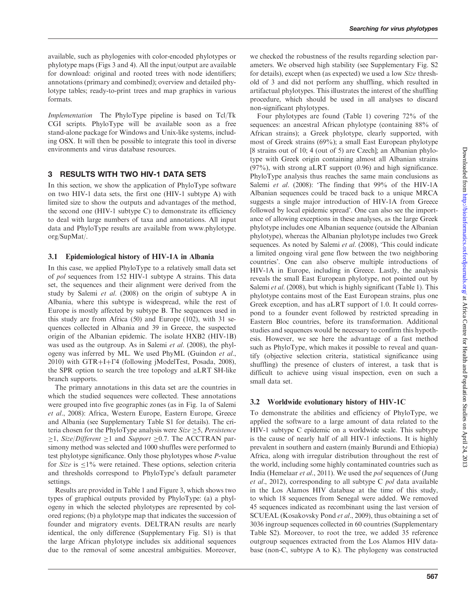available, such as phylogenies with color-encoded phylotypes or phylotype maps [\(Figs 3](#page-5-0) and [4\)](#page-5-0). All the input/output are available for download: original and rooted trees with node identifiers; annotations (primary and combined); overview and detailed phylotype tables; ready-to-print trees and map graphics in various formats.

Implementation The PhyloType pipeline is based on Tcl/Tk CGI scripts. PhyloType will be available soon as a free stand-alone package for Windows and Unix-like systems, including OSX. It will then be possible to integrate this tool in diverse environments and virus database resources.

### 3 RESULTS WITH TWO HIV-1 DATA SETS

In this section, we show the application of PhyloType software on two HIV-1 data sets, the first one (HIV-1 subtype A) with limited size to show the outputs and advantages of the method, the second one (HIV-1 subtype C) to demonstrate its efficiency to deal with large numbers of taxa and annotations. All input data and PhyloType results are available from [www.phylotype.](www.phylotype.org/SupMat/) [org/SupMat/.](www.phylotype.org/SupMat/)

# 3.1 Epidemiological history of HIV-1A in Albania

In this case, we applied PhyloType to a relatively small data set of pol sequences from 152 HIV-1 subtype A strains. This data set, the sequences and their alignment were derived from the study by Salemi et al[. \(2008\)](#page-9-0) on the origin of subtype A in Albania, where this subtype is widespread, while the rest of Europe is mostly affected by subtype B. The sequences used in this study are from Africa (50) and Europe (102), with 31 sequences collected in Albania and 39 in Greece, the suspected origin of the Albanian epidemic. The isolate HXB2 (HIV-1B) was used as the outgroup. As in Salemi *et al.* (2008), the phylogeny was inferred by ML. We used PhyML ([Guindon](#page-9-0) et al., [2010](#page-9-0)) with GTR+I+ $\Gamma$ 4 (following jModelTest, [Posada, 2008\)](#page-9-0), the SPR option to search the tree topology and aLRT SH-like branch supports.

The primary annotations in this data set are the countries in which the studied sequences were collected. These annotations were grouped into five geographic zones (as in [Fig. 1](#page-1-0)a of [Salemi](#page-9-0) et al[., 2008\)](#page-9-0): Africa, Western Europe, Eastern Europe, Greece and Albania (see [Supplementary Table S1](http://bioinformatics.oxfordjournals.org/lookup/suppl/doi:10.1093/bioinformatics/btt010/-/DC1) for details). The criteria chosen for the PhyloType analysis were  $Size \geq 5$ , Persistence  $\geq 1$ , Size/Different  $\geq 1$  and Support  $\geq 0.7$ . The ACCTRAN parsimony method was selected and 1000 shuffles were performed to test phylotype significance. Only those phylotypes whose P-value for *Size* is  $\leq 1\%$  were retained. These options, selection criteria and thresholds correspond to PhyloType's default parameter settings.

Results are provided in [Table 1](#page-4-0) and [Figure 3](#page-5-0), which shows two types of graphical outputs provided by PhyloType: (a) a phylogeny in which the selected phylotypes are represented by colored regions; (b) a phylotype map that indicates the succession of founder and migratory events. DELTRAN results are nearly identical, the only difference [\(Supplementary Fig. S1](http://bioinformatics.oxfordjournals.org/lookup/suppl/doi:10.1093/bioinformatics/btt010/-/DC1)) is that the large African phylotype includes six additional sequences due to the removal of some ancestral ambiguities. Moreover, we checked the robustness of the results regarding selection parameters. We observed high stability (see [Supplementary Fig. S2](http://bioinformatics.oxfordjournals.org/lookup/suppl/doi:10.1093/bioinformatics/btt010/-/DC1) for details), except when (as expected) we used a low Size threshold of 3 and did not perform any shuffling, which resulted in artifactual phylotypes. This illustrates the interest of the shuffling procedure, which should be used in all analyses to discard non-significant phylotypes.

Four phylotypes are found ([Table 1\)](#page-4-0) covering 72% of the sequences: an ancestral African phylotype (containing 88% of African strains); a Greek phylotype, clearly supported, with most of Greek strains (69%); a small East European phylotype [8 strains out of 10; 4 (out of 5) are Czech]; an Albanian phylotype with Greek origin containing almost all Albanian strains  $(97\%)$ , with strong aLRT support  $(0.96)$  and high significance. PhyloType analysis thus reaches the same main conclusions as Salemi et al[. \(2008\):](#page-9-0) 'The finding that 99% of the HIV-1A Albanian sequences could be traced back to a unique MRCA suggests a single major introduction of HIV-1A from Greece followed by local epidemic spread'. One can also see the importance of allowing exceptions in these analyses, as the large Greek phylotype includes one Albanian sequence (outside the Albanian phylotype), whereas the Albanian phylotype includes two Greek sequences. As noted by Salemi et al[. \(2008\),](#page-9-0) 'This could indicate a limited ongoing viral gene flow between the two neighboring countries'. One can also observe multiple introductions of HIV-1A in Europe, including in Greece. Lastly, the analysis reveals the small East European phylotype, not pointed out by Salemi et al[. \(2008\)](#page-9-0), but which is highly significant [\(Table 1](#page-4-0)). This phylotype contains most of the East European strains, plus one Greek exception, and has aLRT support of 1.0. It could correspond to a founder event followed by restricted spreading in Eastern Bloc countries, before its transformation. Additional studies and sequences would be necessary to confirm this hypothesis. However, we see here the advantage of a fast method such as PhyloType, which makes it possible to reveal and quantify (objective selection criteria, statistical significance using shuffling) the presence of clusters of interest, a task that is difficult to achieve using visual inspection, even on such a small data set.

# 3.2 Worldwide evolutionary history of HIV-1C

To demonstrate the abilities and efficiency of PhyloType, we applied the software to a large amount of data related to the HIV-1 subtype C epidemic on a worldwide scale. This subtype is the cause of nearly half of all HIV-1 infections. It is highly prevalent in southern and eastern (mainly Burundi and Ethiopia) Africa, along with irregular distribution throughout the rest of the world, including some highly contaminated countries such as India ([Hemelaar](#page-9-0) et al., 2011). We used the pol sequences of ([Jung](#page-9-0) et al.[, 2012](#page-9-0)), corresponding to all subtype C  $pol$  data available in the Los Alamos HIV database at the time of this study, to which 18 sequences from Senegal were added. We removed 45 sequences indicated as recombinant using the last version of SCUEAL ([Kosakovsky Pond](#page-9-0) et al., 2009), thus obtaining a set of 3036 ingroup sequences collected in 60 countries [\(Supplementary](http://bioinformatics.oxfordjournals.org/lookup/suppl/doi:10.1093/bioinformatics/btt010/-/DC1) [Table S2](http://bioinformatics.oxfordjournals.org/lookup/suppl/doi:10.1093/bioinformatics/btt010/-/DC1)). Moreover, to root the tree, we added 35 reference outgroup sequences extracted from the Los Alamos HIV database (non-C, subtype A to K). The phylogeny was constructed

567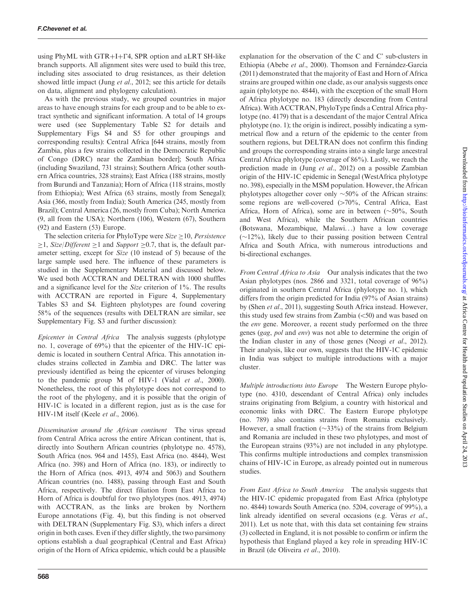using PhyML with GTR+I+F4, SPR option and aLRT SH-like branch supports. All alignment sites were used to build this tree, including sites associated to drug resistances, as their deletion showed little impact (Jung *et al.*, 2012; see this article for details on data, alignment and phylogeny calculation).

As with the previous study, we grouped countries in major areas to have enough strains for each group and to be able to extract synthetic and significant information. A total of 14 groups were used (see [Supplementary Table S2](http://bioinformatics.oxfordjournals.org/lookup/suppl/doi:10.1093/bioinformatics/btt010/-/DC1) for details and [Supplementary Figs S4](http://bioinformatics.oxfordjournals.org/lookup/suppl/doi:10.1093/bioinformatics/btt010/-/DC1) and [S5](http://bioinformatics.oxfordjournals.org/lookup/suppl/doi:10.1093/bioinformatics/btt010/-/DC1) for other groupings and corresponding results): Central Africa [644 strains, mostly from Zambia, plus a few strains collected in the Democratic Republic of Congo (DRC) near the Zambian border]; South Africa (including Swaziland, 731 strains); Southern Africa (other southern Africa countries, 328 strains); East Africa (188 strains, mostly from Burundi and Tanzania); Horn of Africa (118 strains, mostly from Ethiopia); West Africa (63 strains, mostly from Senegal); Asia (366, mostly from India); South America (245, mostly from Brazil); Central America (26, mostly from Cuba); North America (9, all from the USA); Northern (106), Western (67), Southern (92) and Eastern (53) Europe.

The selection criteria for PhyloType were  $Size \ge 10$ , Persistence  $\geq 1$ , Size/Different  $\geq 1$  and Support  $\geq 0.7$ , that is, the default parameter setting, except for Size (10 instead of 5) because of the large sample used here. The influence of these parameters is studied in the [Supplementary Material](http://bioinformatics.oxfordjournals.org/lookup/suppl/doi:10.1093/bioinformatics/btt010/-/DC1) and discussed below. We used both ACCTRAN and DELTRAN with 1000 shuffles and a significance level for the Size criterion of 1%. The results with ACCTRAN are reported in [Figure 4,](#page-5-0) [Supplementary](http://bioinformatics.oxfordjournals.org/lookup/suppl/doi:10.1093/bioinformatics/btt010/-/DC1) [Tables S3](http://bioinformatics.oxfordjournals.org/lookup/suppl/doi:10.1093/bioinformatics/btt010/-/DC1) and [S4.](http://bioinformatics.oxfordjournals.org/lookup/suppl/doi:10.1093/bioinformatics/btt010/-/DC1) Eighteen phylotypes are found covering 58% of the sequences (results with DELTRAN are similar, see [Supplementary Fig. S3](http://bioinformatics.oxfordjournals.org/lookup/suppl/doi:10.1093/bioinformatics/btt010/-/DC1) and further discussion):

Epicenter in Central Africa The analysis suggests (phylotype no. 1, coverage of 69%) that the epicenter of the HIV-1C epidemic is located in southern Central Africa. This annotation includes strains collected in Zambia and DRC. The latter was previously identified as being the epicenter of viruses belonging to the pandemic group M of HIV-1 (Vidal et al.[, 2000](#page-9-0)). Nonetheless, the root of this phylotype does not correspond to the root of the phylogeny, and it is possible that the origin of HIV-1C is located in a different region, just as is the case for HIV-1M itself (Keele et al.[, 2006\)](#page-9-0).

Dissemination around the African continent The virus spread from Central Africa across the entire African continent, that is, directly into Southern African countries (phylotype no. 4578), South Africa (nos. 964 and 1455), East Africa (no. 4844), West Africa (no. 398) and Horn of Africa (no. 183), or indirectly to the Horn of Africa (nos. 4913, 4974 and 5063) and Southern African countries (no. 1488), passing through East and South Africa, respectively. The direct filiation from East Africa to Horn of Africa is doubtful for two phylotypes (nos. 4913, 4974) with ACCTRAN, as the links are broken by Northern Europe annotations [\(Fig. 4\)](#page-5-0), but this finding is not observed with DELTRAN [\(Supplementary Fig. S3\)](http://bioinformatics.oxfordjournals.org/lookup/suppl/doi:10.1093/bioinformatics/btt010/-/DC1), which infers a direct origin in both cases. Even if they differ slightly, the two parsimony options establish a dual geographical (Central and East Africa) origin of the Horn of Africa epidemic, which could be a plausible

explanation for the observation of the C and C' sub-clusters in Ethiopia [\(Abebe](#page-9-0) et al., 2000). Thomson and Fernández-García [\(2011\)](#page-9-0) demonstrated that the majority of East and Horn of Africa strains are grouped within one clade, as our analysis suggests once again (phylotype no. 4844), with the exception of the small Horn of Africa phylotype no. 183 (directly descending from Central Africa). With ACCTRAN, PhyloType finds a Central Africa phylotype (no. 4179) that is a descendant of the major Central Africa phylotype (no. 1); the origin is indirect, possibly indicating a symmetrical flow and a return of the epidemic to the center from southern regions, but DELTRAN does not confirm this finding and groups the corresponding strains into a single large ancestral Central Africa phylotype (coverage of 86%). Lastly, we reach the prediction made in (Jung et al[., 2012](#page-9-0)) on a possible Zambian origin of the HIV-1C epidemic in Senegal (WestAfrica phylotype no. 398), especially in the MSM population. However, the African phylotypes altogether cover only  $\sim 50\%$  of the African strains: some regions are well-covered  $(>70\%$ , Central Africa, East Africa, Horn of Africa), some are in between  $(\sim 50\%$ , South and West Africa), while the Southern African countries (Botswana, Mozambique, Malawi...) have a low coverage  $(\sim 12\%)$ , likely due to their passing position between Central Africa and South Africa, with numerous introductions and bi-directional exchanges.

From Central Africa to Asia Our analysis indicates that the two Asian phylotypes (nos. 2866 and 3321, total coverage of 96%) originated in southern Central Africa (phylotype no. 1), which differs from the origin predicted for India (97% of Asian strains) by (Shen et al.[, 2011\)](#page-9-0), suggesting South Africa instead. However, this study used few strains from Zambia  $(<50$ ) and was based on the env gene. Moreover, a recent study performed on the three genes (gag, pol and env) was not able to determine the origin of the Indian cluster in any of those genes (Neogi et al.[, 2012](#page-9-0)). Their analysis, like our own, suggests that the HIV-1C epidemic in India was subject to multiple introductions with a major cluster.

Multiple introductions into Europe The Western Europe phylotype (no. 4310, descendant of Central Africa) only includes strains originating from Belgium, a country with historical and economic links with DRC. The Eastern Europe phylotype (no. 789) also contains strains from Romania exclusively. However, a small fraction  $(\sim)33\%$  of the strains from Belgium and Romania are included in these two phylotypes, and most of the European strains (93%) are not included in any phylotype. This confirms multiple introductions and complex transmission chains of HIV-1C in Europe, as already pointed out in numerous studies.

From East Africa to South America The analysis suggests that the HIV-1C epidemic propagated from East Africa (phylotype no. 4844) towards South America (no. 5204, coverage of 99%), a link already identified on several occasions (e.g. Véras et al., [2011\)](#page-9-0). Let us note that, with this data set containing few strains (3) collected in England, it is not possible to confirm or infirm the hypothesis that England played a key role in spreading HIV-1C in Brazil ([de Oliveira](#page-9-0) et al., 2010).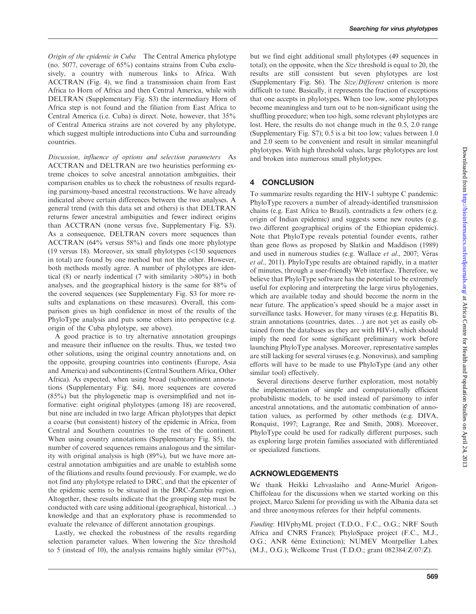Origin of the epidemic in Cuba The Central America phylotype (no. 5077, coverage of 65%) contains strains from Cuba exclusively, a country with numerous links to Africa. With ACCTRAN [\(Fig. 4](#page-5-0)), we find a transmission chain from East Africa to Horn of Africa and then Central America, while with DELTRAN ([Supplementary Fig. S3\)](http://bioinformatics.oxfordjournals.org/lookup/suppl/doi:10.1093/bioinformatics/btt010/-/DC1) the intermediary Horn of Africa step is not found and the filiation from East Africa to Central America (i.e. Cuba) is direct. Note, however, that 35% of Central America strains are not covered by any phylotype, which suggest multiple introductions into Cuba and surrounding countries.

Discussion, influence of options and selection parameters As ACCTRAN and DELTRAN are two heuristics performing extreme choices to solve ancestral annotation ambiguities, their comparison enables us to check the robustness of results regarding parsimony-based ancestral reconstructions. We have already indicated above certain differences between the two analyses. A general trend (with this data set and others) is that DELTRAN returns fewer ancestral ambiguities and fewer indirect origins than ACCTRAN (none versus five, [Supplementary Fig. S3\)](http://bioinformatics.oxfordjournals.org/lookup/suppl/doi:10.1093/bioinformatics/btt010/-/DC1). As a consequence, DELTRAN covers more sequences than ACCTRAN (64% versus 58%) and finds one more phylotype (19 versus 18). Moreover, six small phylotypes  $\left($  <150 sequences in total) are found by one method but not the other. However, both methods mostly agree. A number of phylotypes are identical (8) or nearly indentical (7 with similarity  $>80\%$ ) in both analyses, and the geographical history is the same for 88% of the covered sequences (see [Supplementary Fig. S3](http://bioinformatics.oxfordjournals.org/lookup/suppl/doi:10.1093/bioinformatics/btt010/-/DC1) for more results and explanations on these measures). Overall, this comparison gives us high confidence in most of the results of the PhyloType analysis and puts some others into perspective (e.g. origin of the Cuba phylotype, see above).

A good practice is to try alternative annotation groupings and measure their influence on the results. Thus, we tested two other solutions, using the original country annotations and, on the opposite, grouping countries into continents (Europe, Asia and America) and subcontinents (Central Southern Africa, Other Africa). As expected, when using broad (sub)continent annotations [\(Supplementary Fig. S4](http://bioinformatics.oxfordjournals.org/lookup/suppl/doi:10.1093/bioinformatics/btt010/-/DC1)), more sequences are covered (85%) but the phylogenetic map is oversimplified and not informative: eight original phylotypes (among 18) are recovered, but nine are included in two large African phylotypes that depict a coarse (but consistent) history of the epidemic in Africa, from Central and Southern countries to the rest of the continent. When using country annotations [\(Supplementary Fig. S5](http://bioinformatics.oxfordjournals.org/lookup/suppl/doi:10.1093/bioinformatics/btt010/-/DC1)), the number of covered sequences remains analogous and the similarity with original analysis is high (89%), but we have more ancestral annotation ambiguities and are unable to establish some of the filiations and results found previously. For example, we do not find any phylotype related to DRC, and that the epicenter of the epidemic seems to be situated in the DRC-Zambia region. Altogether, these results indicate that the grouping step must be conducted with care using additional (geographical, historical...) knowledge and that an exploratory phase is recommended to evaluate the relevance of different annotation groupings.

Lastly, we checked the robustness of the results regarding selection parameter values. When lowering the Size threshold to 5 (instead of 10), the analysis remains highly similar (97%),

but we find eight additional small phylotypes (49 sequences in total); on the opposite, when the Size threshold is equal to 20, the results are still consistent but seven phylotypes are lost ([Supplementary Fig. S6](http://bioinformatics.oxfordjournals.org/lookup/suppl/doi:10.1093/bioinformatics/btt010/-/DC1)). The Size/Different criterion is more difficult to tune. Basically, it represents the fraction of exceptions that one accepts in phylotypes. When too low, some phylotypes become meaningless and turn out to be non-significant using the shuffling procedure; when too high, some relevant phylotypes are lost. Here, the results do not change much in the 0.5, 2.0 range ([Supplementary Fig. S7\)](http://bioinformatics.oxfordjournals.org/lookup/suppl/doi:10.1093/bioinformatics/btt010/-/DC1); 0.5 is a bit too low; values between 1.0 and 2.0 seem to be convenient and result in similar meaningful phylotypes. With high threshold values, large phylotypes are lost and broken into numerous small phylotypes.

# 4 CONCLUSION

To summarize results regarding the HIV-1 subtype C pandemic: PhyloType recovers a number of already-identified transmission chains (e.g. East Africa to Brazil), contradicts a few others (e.g. origin of Indian epidemic) and suggests some new routes (e.g. two different geographical origins of the Ethiopian epidemic). Note that PhyloType reveals potential founder events, rather than gene flows as proposed by [Slatkin and Maddison \(1989\)](#page-9-0) and used in numerous studies (e.g. [Wallace](#page-9-0) et al., 2007; Véras et al.[, 2011\)](#page-9-0). PhyloType results are obtained rapidly, in a matter of minutes, through a user-friendly Web interface. Therefore, we believe that PhyloType software has the potential to be extremely useful for exploring and interpreting the large virus phylogenies, which are available today and should become the norm in the near future. The application's speed should be a major asset in surveillance tasks. However, for many viruses (e.g. Hepatitis B), strain annotations (countries, dates...) are not yet as easily obtained from the databases as they are with HIV-1, which should imply the need for some significant preliminary work before launching PhyloType analyses. Moreover, representative samples are still lacking for several viruses (e.g. Nonovirus), and sampling efforts will have to be made to use PhyloType (and any other similar tool) effectively.

Several directions deserve further exploration, most notably the implementation of simple and computationally efficient probabilistic models, to be used instead of parsimony to infer ancestral annotations, and the automatic combination of annotation values, as performed by other methods (e.g. DIVA, [Ronquist, 1997;](#page-9-0) Lagrange, [Ree and Smith, 2008](#page-9-0)). Moreover, PhyloType could be used for radically different purposes, such as exploring large protein families associated with differentiated or specialized functions.

# ACKNOWLEDGEMENTS

We thank Heikki Lehvaslaiho and Anne-Muriel Arigon-Chiffoleau for the discussions when we started working on this project, Marco Salemi for providing us with the Albania data set and three anonymous referees for their helpful comments.

Funding: HIVphyML project (T.D.O., F.C., O.G.; NRF South Africa and CNRS France); PhyloSpace project (F.C., M.J., O.G.; ANR 6ème Extinction); NUMEV Montpellier Labex (M.J., O.G.); Wellcome Trust (T.D.O.; grant 082384/Z/07/Z).